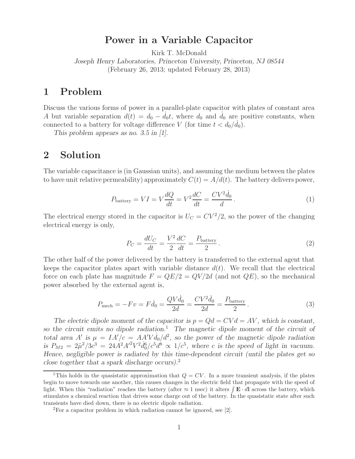## **Power in a Variable Capacitor**

Kirk T. McDonald

*Joseph Henry Laboratories, Princeton University, Princeton, NJ 08544* (February 26, 2013; updated February 28, 2013)

### **1 Problem**

Discuss the various forms of power in a parallel-plate capacitor with plates of constant area *A* but variable separation  $d(t) = d_0 - d_0 t$ , where  $d_0$  and  $d_0$  are positive constants, when connected to a battery for voltage difference *V* (for time  $t < d_0/d_0$ ).

*This problem appears as no. 3.5 in [1].*

### **2 Solution**

The variable capacitance is (in Gaussian units), and assuming the medium between the plates to have unit relative permeability) approximately  $C(t) = A/d(t)$ . The battery delivers power,

$$
P_{\text{battery}} = VI = V\frac{dQ}{dt} = V^2 \frac{dC}{dt} = \frac{CV^2 \dot{d}_0}{d}.
$$
\n<sup>(1)</sup>

The electrical energy stored in the capacitor is  $U_C = CV^2/2$ , so the power of the changing electrical energy is only,

$$
P_C = \frac{dU_C}{dt} = \frac{V^2}{2}\frac{dC}{dt} = \frac{P_{\text{battery}}}{2} \,. \tag{2}
$$

The other half of the power delivered by the battery is transferred to the external agent that keeps the capacitor plates apart with variable distance  $d(t)$ . We recall that the electrical force on each plate has magnitude  $F = QE/2 = QV/2d$  (and not  $QE$ ), so the mechanical power absorbed by the external agent is,

$$
P_{\text{mech}} = -Fv = F\dot{d}_0 = \frac{QV\dot{d}_0}{2d} = \frac{CV^2\dot{d}_0}{2d} = \frac{P_{\text{battery}}}{2}.
$$
\n(3)

*The electric dipole moment of the capacitor is*  $p = Qd = CVd = AV$ , which is constant, *so the circuit emits no dipole radiation.*<sup>1</sup> *The magnetic dipole moment of the circuit of total area A'* is  $\mu = IA'/c = AA'Vd_0/d^2$ , so the power of the magnetic dipole radiation *is*  $P_{M2} = 2\mu^2/3c^3 = 24A^2A'^2V^2d_0^6/c^5d^8 \propto 1/c^5$ , where *c is the speed of light in vacuum. Hence, negligible power is radiated by this time-dependent circuit (until the plates get so close together that a spark discharge occurs).*<sup>2</sup>

<sup>&</sup>lt;sup>1</sup>This holds in the quasistatic approximation that  $Q = CV$ . In a more transient analysis, if the plates begin to move towards one another, this causes changes in the electric field that propagate with the speed of light. When this "radiation" reaches the battery (after  $\approx 1$  nsec) it alters  $\int \mathbf{E} \cdot d\mathbf{l}$  across the battery, which stimulates a chemical reaction that drives some charge out of the battery. In the quasistatic state after such transients have died down, there is no electric dipole radiation.

<sup>2</sup>For a capacitor problem in which radiation cannot be ignored, see [2].